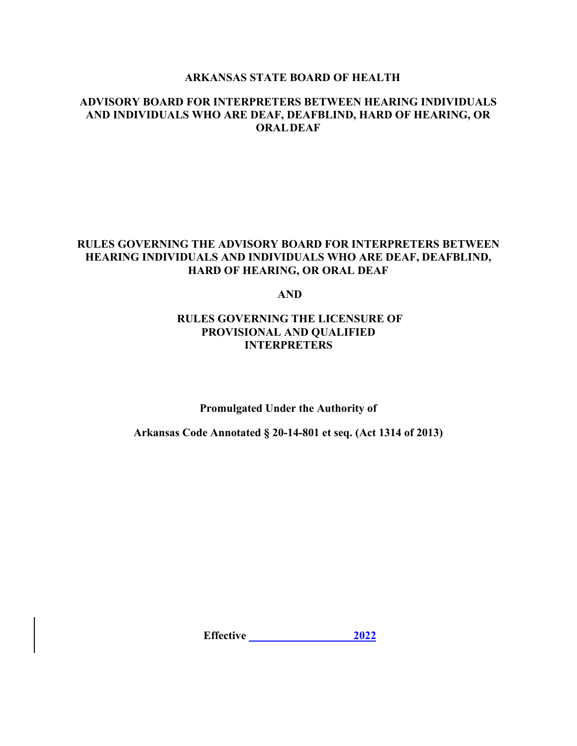## **ARKANSAS STATE BOARD OF HEALTH**

## **ADVISORY BOARD FOR INTERPRETERS BETWEEN HEARING INDIVIDUALS AND INDIVIDUALS WHO ARE DEAF, DEAFBLIND, HARD OF HEARING, OR ORALDEAF**

## **RULES GOVERNING THE ADVISORY BOARD FOR INTERPRETERS BETWEEN HEARING INDIVIDUALS AND INDIVIDUALS WHO ARE DEAF, DEAFBLIND, HARD OF HEARING, OR ORAL DEAF**

**AND**

## **RULES GOVERNING THE LICENSURE OF PROVISIONAL AND QUALIFIED INTERPRETERS**

**Promulgated Under the Authority of**

**Arkansas Code Annotated § 20-14-801 et seq. (Act 1314 of 2013)**

**Effective \_\_\_\_\_\_\_\_\_\_\_\_\_\_\_\_\_\_ 2022**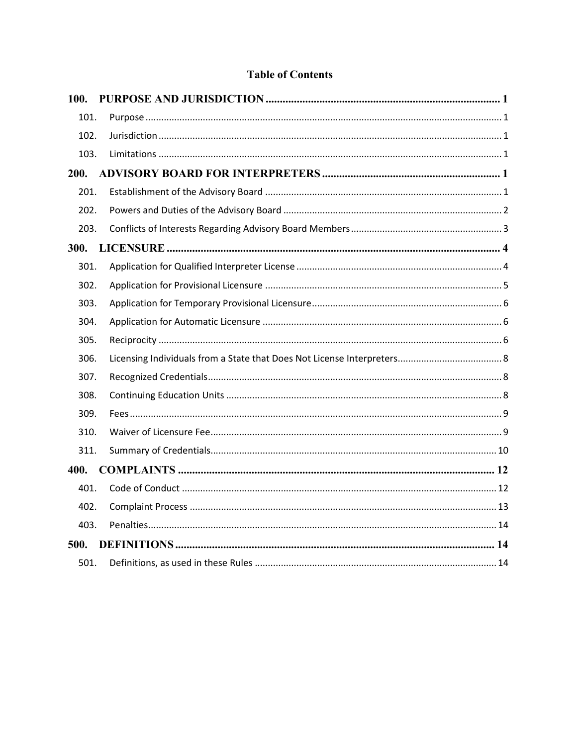# **Table of Contents**

| 100. |  |
|------|--|
| 101. |  |
| 102. |  |
| 103. |  |
| 200. |  |
| 201. |  |
| 202. |  |
| 203. |  |
| 300. |  |
| 301. |  |
| 302. |  |
| 303. |  |
| 304. |  |
| 305. |  |
| 306. |  |
| 307. |  |
| 308. |  |
| 309. |  |
| 310. |  |
| 311. |  |
| 400. |  |
| 401. |  |
| 402. |  |
| 403. |  |
| 500. |  |
| 501. |  |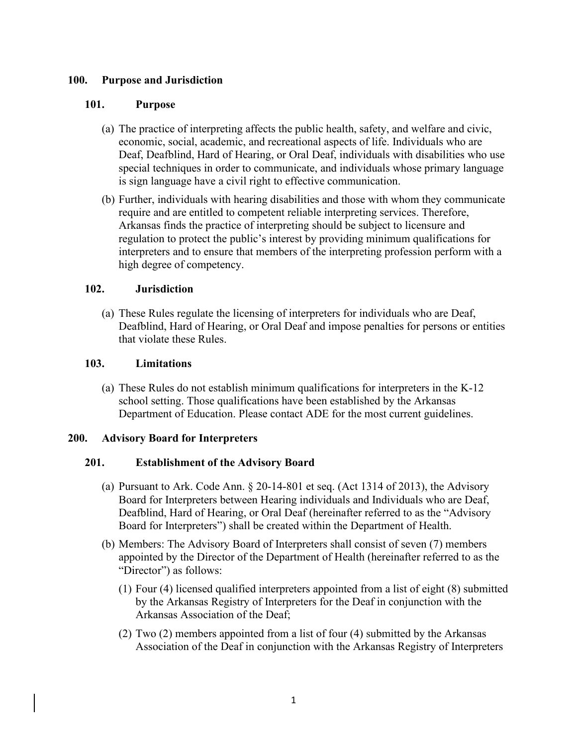## <span id="page-2-0"></span>**100. Purpose and Jurisdiction**

## <span id="page-2-1"></span>**101. Purpose**

- (a) The practice of interpreting affects the public health, safety, and welfare and civic, economic, social, academic, and recreational aspects of life. Individuals who are Deaf, Deafblind, Hard of Hearing, or Oral Deaf, individuals with disabilities who use special techniques in order to communicate, and individuals whose primary language is sign language have a civil right to effective communication.
- (b) Further, individuals with hearing disabilities and those with whom they communicate require and are entitled to competent reliable interpreting services. Therefore, Arkansas finds the practice of interpreting should be subject to licensure and regulation to protect the public's interest by providing minimum qualifications for interpreters and to ensure that members of the interpreting profession perform with a high degree of competency.

## <span id="page-2-2"></span>**102. Jurisdiction**

(a) These Rules regulate the licensing of interpreters for individuals who are Deaf, Deafblind, Hard of Hearing, or Oral Deaf and impose penalties for persons or entities that violate these Rules.

## <span id="page-2-3"></span>**103. Limitations**

(a) These Rules do not establish minimum qualifications for interpreters in the K-12 school setting. Those qualifications have been established by the Arkansas Department of Education. Please contact ADE for the most current guidelines.

# <span id="page-2-4"></span>**200. Advisory Board for Interpreters**

# <span id="page-2-5"></span>**201. Establishment of the Advisory Board**

- (a) Pursuant to Ark. Code Ann. § 20-14-801 et seq. (Act 1314 of 2013), the Advisory Board for Interpreters between Hearing individuals and Individuals who are Deaf, Deafblind, Hard of Hearing, or Oral Deaf (hereinafter referred to as the "Advisory Board for Interpreters") shall be created within the Department of Health.
- (b) Members: The Advisory Board of Interpreters shall consist of seven (7) members appointed by the Director of the Department of Health (hereinafter referred to as the "Director") as follows:
	- (1) Four (4) licensed qualified interpreters appointed from a list of eight (8) submitted by the Arkansas Registry of Interpreters for the Deaf in conjunction with the Arkansas Association of the Deaf;
	- (2) Two (2) members appointed from a list of four (4) submitted by the Arkansas Association of the Deaf in conjunction with the Arkansas Registry of Interpreters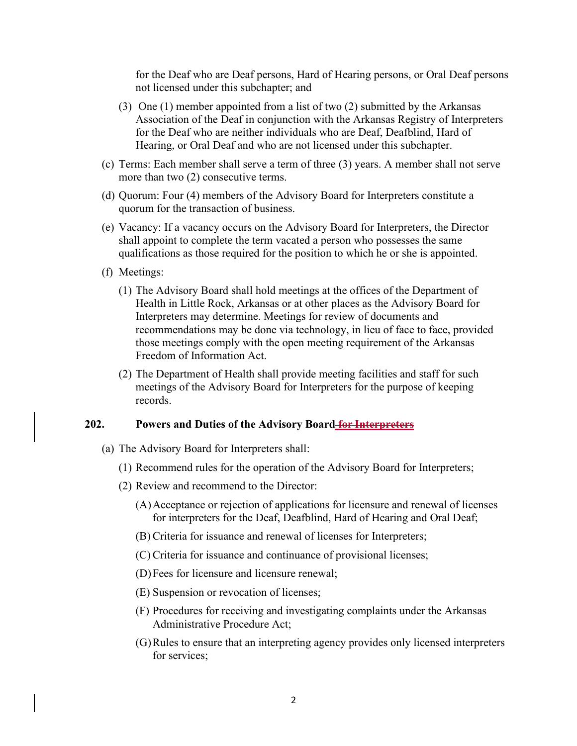for the Deaf who are Deaf persons, Hard of Hearing persons, or Oral Deaf persons not licensed under this subchapter; and

- (3) One (1) member appointed from a list of two (2) submitted by the Arkansas Association of the Deaf in conjunction with the Arkansas Registry of Interpreters for the Deaf who are neither individuals who are Deaf, Deafblind, Hard of Hearing, or Oral Deaf and who are not licensed under this subchapter.
- (c) Terms: Each member shall serve a term of three (3) years. A member shall not serve more than two (2) consecutive terms.
- (d) Quorum: Four (4) members of the Advisory Board for Interpreters constitute a quorum for the transaction of business.
- (e) Vacancy: If a vacancy occurs on the Advisory Board for Interpreters, the Director shall appoint to complete the term vacated a person who possesses the same qualifications as those required for the position to which he or she is appointed.
- (f) Meetings:
	- (1) The Advisory Board shall hold meetings at the offices of the Department of Health in Little Rock, Arkansas or at other places as the Advisory Board for Interpreters may determine. Meetings for review of documents and recommendations may be done via technology, in lieu of face to face, provided those meetings comply with the open meeting requirement of the Arkansas Freedom of Information Act.
	- (2) The Department of Health shall provide meeting facilities and staff for such meetings of the Advisory Board for Interpreters for the purpose of keeping records.

#### <span id="page-3-0"></span>**202. Powers and Duties of the Advisory Board for Interpreters**

- (a) The Advisory Board for Interpreters shall:
	- (1) Recommend rules for the operation of the Advisory Board for Interpreters;
	- (2) Review and recommend to the Director:
		- (A)Acceptance or rejection of applications for licensure and renewal of licenses for interpreters for the Deaf, Deafblind, Hard of Hearing and Oral Deaf;
		- (B) Criteria for issuance and renewal of licenses for Interpreters;
		- (C) Criteria for issuance and continuance of provisional licenses;
		- (D)Fees for licensure and licensure renewal;
		- (E) Suspension or revocation of licenses;
		- (F) Procedures for receiving and investigating complaints under the Arkansas Administrative Procedure Act;
		- (G)Rules to ensure that an interpreting agency provides only licensed interpreters for services;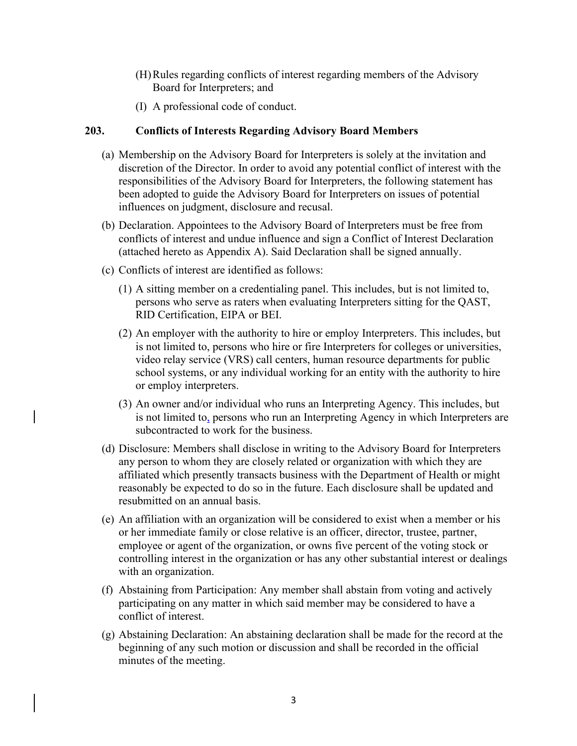- (H)Rules regarding conflicts of interest regarding members of the Advisory Board for Interpreters; and
- (I) A professional code of conduct.

## <span id="page-4-0"></span>**203. Conflicts of Interests Regarding Advisory Board Members**

- (a) Membership on the Advisory Board for Interpreters is solely at the invitation and discretion of the Director. In order to avoid any potential conflict of interest with the responsibilities of the Advisory Board for Interpreters, the following statement has been adopted to guide the Advisory Board for Interpreters on issues of potential influences on judgment, disclosure and recusal.
- (b) Declaration. Appointees to the Advisory Board of Interpreters must be free from conflicts of interest and undue influence and sign a Conflict of Interest Declaration (attached hereto as Appendix A). Said Declaration shall be signed annually.
- (c) Conflicts of interest are identified as follows:
	- (1) A sitting member on a credentialing panel. This includes, but is not limited to, persons who serve as raters when evaluating Interpreters sitting for the QAST, RID Certification, EIPA or BEI.
	- (2) An employer with the authority to hire or employ Interpreters. This includes, but is not limited to, persons who hire or fire Interpreters for colleges or universities, video relay service (VRS) call centers, human resource departments for public school systems, or any individual working for an entity with the authority to hire or employ interpreters.
	- (3) An owner and/or individual who runs an Interpreting Agency. This includes, but is not limited to, persons who run an Interpreting Agency in which Interpreters are subcontracted to work for the business.
- (d) Disclosure: Members shall disclose in writing to the Advisory Board for Interpreters any person to whom they are closely related or organization with which they are affiliated which presently transacts business with the Department of Health or might reasonably be expected to do so in the future. Each disclosure shall be updated and resubmitted on an annual basis.
- (e) An affiliation with an organization will be considered to exist when a member or his or her immediate family or close relative is an officer, director, trustee, partner, employee or agent of the organization, or owns five percent of the voting stock or controlling interest in the organization or has any other substantial interest or dealings with an organization.
- (f) Abstaining from Participation: Any member shall abstain from voting and actively participating on any matter in which said member may be considered to have a conflict of interest.
- (g) Abstaining Declaration: An abstaining declaration shall be made for the record at the beginning of any such motion or discussion and shall be recorded in the official minutes of the meeting.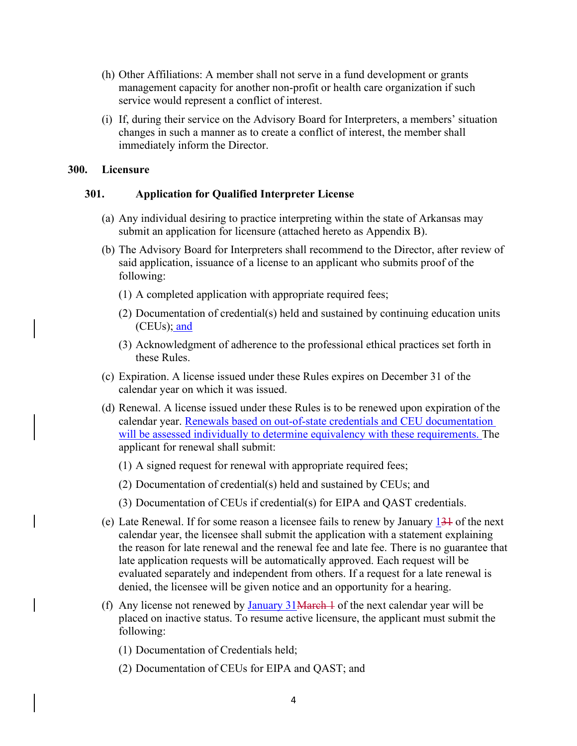- (h) Other Affiliations: A member shall not serve in a fund development or grants management capacity for another non-profit or health care organization if such service would represent a conflict of interest.
- (i) If, during their service on the Advisory Board for Interpreters, a members' situation changes in such a manner as to create a conflict of interest, the member shall immediately inform the Director.

#### <span id="page-5-0"></span>**300. Licensure**

### <span id="page-5-1"></span>**301. Application for Qualified Interpreter License**

- (a) Any individual desiring to practice interpreting within the state of Arkansas may submit an application for licensure (attached hereto as Appendix B).
- (b) The Advisory Board for Interpreters shall recommend to the Director, after review of said application, issuance of a license to an applicant who submits proof of the following:
	- (1) A completed application with appropriate required fees;
	- (2) Documentation of credential(s) held and sustained by continuing education units (CEUs); and
	- (3) Acknowledgment of adherence to the professional ethical practices set forth in these Rules.
- (c) Expiration. A license issued under these Rules expires on December 31 of the calendar year on which it was issued.
- (d) Renewal. A license issued under these Rules is to be renewed upon expiration of the calendar year. Renewals based on out-of-state credentials and CEU documentation will be assessed individually to determine equivalency with these requirements. The applicant for renewal shall submit:
	- (1) A signed request for renewal with appropriate required fees;
	- (2) Documentation of credential(s) held and sustained by CEUs; and
	- (3) Documentation of CEUs if credential(s) for EIPA and QAST credentials.
- (e) Late Renewal. If for some reason a licensee fails to renew by January  $13\frac{1}{3}$  of the next calendar year, the licensee shall submit the application with a statement explaining the reason for late renewal and the renewal fee and late fee. There is no guarantee that late application requests will be automatically approved. Each request will be evaluated separately and independent from others. If a request for a late renewal is denied, the licensee will be given notice and an opportunity for a hearing.
- (f) Any license not renewed by  $\frac{January}{31 + 4}$  of the next calendar year will be placed on inactive status. To resume active licensure, the applicant must submit the following:
	- (1) Documentation of Credentials held;
	- (2) Documentation of CEUs for EIPA and QAST; and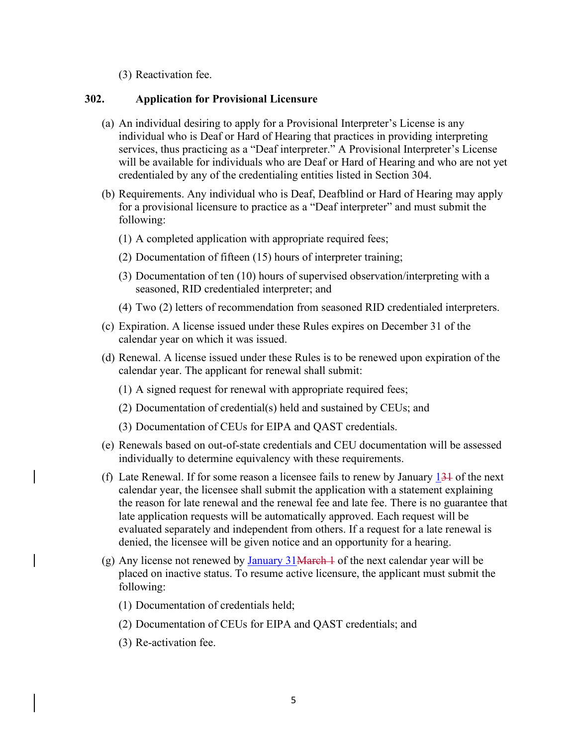(3) Reactivation fee.

## <span id="page-6-0"></span>**302. Application for Provisional Licensure**

- (a) An individual desiring to apply for a Provisional Interpreter's License is any individual who is Deaf or Hard of Hearing that practices in providing interpreting services, thus practicing as a "Deaf interpreter." A Provisional Interpreter's License will be available for individuals who are Deaf or Hard of Hearing and who are not yet credentialed by any of the credentialing entities listed in Section [304.](#page-7-1)
- (b) Requirements. Any individual who is Deaf, Deafblind or Hard of Hearing may apply for a provisional licensure to practice as a "Deaf interpreter" and must submit the following:
	- (1) A completed application with appropriate required fees;
	- (2) Documentation of fifteen (15) hours of interpreter training;
	- (3) Documentation of ten (10) hours of supervised observation/interpreting with a seasoned, RID credentialed interpreter; and
	- (4) Two (2) letters of recommendation from seasoned RID credentialed interpreters.
- (c) Expiration. A license issued under these Rules expires on December 31 of the calendar year on which it was issued.
- (d) Renewal. A license issued under these Rules is to be renewed upon expiration of the calendar year. The applicant for renewal shall submit:
	- (1) A signed request for renewal with appropriate required fees;
	- (2) Documentation of credential(s) held and sustained by CEUs; and
	- (3) Documentation of CEUs for EIPA and QAST credentials.
- (e) Renewals based on out-of-state credentials and CEU documentation will be assessed individually to determine equivalency with these requirements.
- (f) Late Renewal. If for some reason a licensee fails to renew by January  $13\frac{1}{12}$  of the next calendar year, the licensee shall submit the application with a statement explaining the reason for late renewal and the renewal fee and late fee. There is no guarantee that late application requests will be automatically approved. Each request will be evaluated separately and independent from others. If a request for a late renewal is denied, the licensee will be given notice and an opportunity for a hearing.
- (g) Any license not renewed by  $\frac{January}{31 + 4}$  of the next calendar year will be placed on inactive status. To resume active licensure, the applicant must submit the following:
	- (1) Documentation of credentials held;
	- (2) Documentation of CEUs for EIPA and QAST credentials; and
	- (3) Re-activation fee.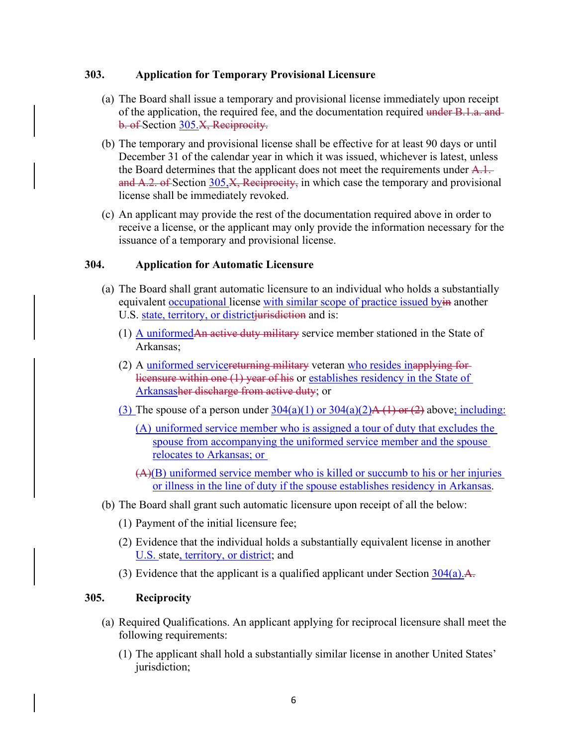### <span id="page-7-0"></span>**303. Application for Temporary Provisional Licensure**

- (a) The Board shall issue a temporary and provisional license immediately upon receipt of the application, the required fee, and the documentation required under B.1.a. and b. of Section [305.](#page-7-2)X, Reciprocity.
- (b) The temporary and provisional license shall be effective for at least 90 days or until December 31 of the calendar year in which it was issued, whichever is latest, unless the Board determines that the applicant does not meet the requirements under  $A.1$ . and  $A.2.$  of Section [305,](#page-7-2)  $X$ , Reciprocity, in which case the temporary and provisional license shall be immediately revoked.
- (c) An applicant may provide the rest of the documentation required above in order to receive a license, or the applicant may only provide the information necessary for the issuance of a temporary and provisional license.

### <span id="page-7-5"></span><span id="page-7-1"></span>**304. Application for Automatic Licensure**

- <span id="page-7-4"></span><span id="page-7-3"></span>(a) The Board shall grant automatic licensure to an individual who holds a substantially equivalent occupational license with similar scope of practice issued byin another U.S. state, territory, or districtiurisdiction and is:
	- (1) A uniformedAn active duty military service member stationed in the State of Arkansas;
	- (2) A uniformed servicereturning military veteran who resides inapplying for licensure within one (1) year of his or establishes residency in the State of Arkansasher discharge from active duty; or
	- (3) The spouse of a person under  $304(a)(1)$  or  $304(a)(2)A(1)$  or  $(2)$  above; including:
		- (A) uniformed service member who is assigned a tour of duty that excludes the spouse from accompanying the uniformed service member and the spouse relocates to Arkansas; or
		- (A)(B) uniformed service member who is killed or succumb to his or her injuries or illness in the line of duty if the spouse establishes residency in Arkansas.
- (b) The Board shall grant such automatic licensure upon receipt of all the below:
	- (1) Payment of the initial licensure fee;
	- (2) Evidence that the individual holds a substantially equivalent license in another U.S. state, territory, or district; and
	- (3) Evidence that the applicant is a qualified applicant under Section  $304(a)$ .

## <span id="page-7-2"></span>**305. Reciprocity**

- <span id="page-7-6"></span>(a) Required Qualifications. An applicant applying for reciprocal licensure shall meet the following requirements:
	- (1) The applicant shall hold a substantially similar license in another United States' jurisdiction;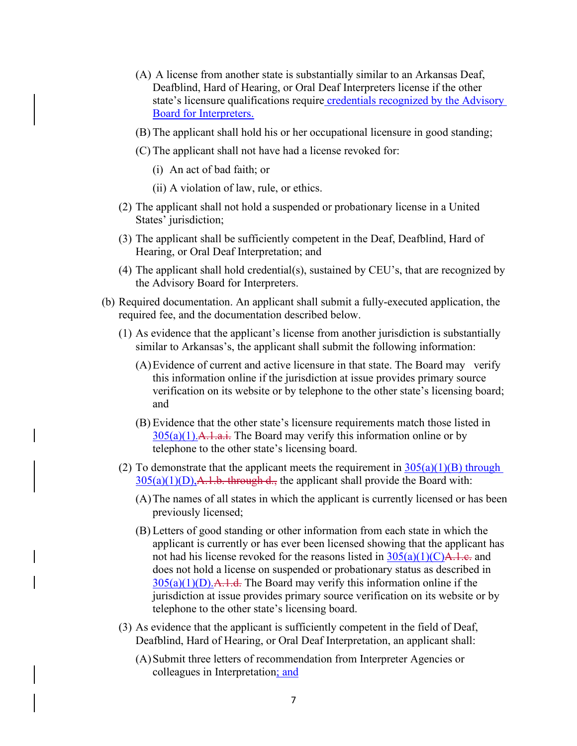- (A) A license from another state is substantially similar to an Arkansas Deaf, Deafblind, Hard of Hearing, or Oral Deaf Interpreters license if the other state's licensure qualifications require credentials recognized by the Advisory Board for Interpreters.
- <span id="page-8-0"></span>(B) The applicant shall hold his or her occupational licensure in good standing;
- <span id="page-8-2"></span>(C) The applicant shall not have had a license revoked for:
	- (i) An act of bad faith; or
	- (ii) A violation of law, rule, or ethics.
- <span id="page-8-1"></span>(2) The applicant shall not hold a suspended or probationary license in a United States' jurisdiction;
- (3) The applicant shall be sufficiently competent in the Deaf, Deafblind, Hard of Hearing, or Oral Deaf Interpretation; and
- (4) The applicant shall hold credential(s), sustained by CEU's, that are recognized by the Advisory Board for Interpreters.
- (b) Required documentation. An applicant shall submit a fully-executed application, the required fee, and the documentation described below.
	- (1) As evidence that the applicant's license from another jurisdiction is substantially similar to Arkansas's, the applicant shall submit the following information:
		- (A)Evidence of current and active licensure in that state. The Board may verify this information online if the jurisdiction at issue provides primary source verification on its website or by telephone to the other state's licensing board; and
		- (B) Evidence that the other state's licensure requirements match those listed in  $305(a)(1)$ . A. 1.a.i. The Board may verify this information online or by telephone to the other state's licensing board.
	- (2) To demonstrate that the applicant meets the requirement in  $305(a)(1)(B)$  through  $305(a)(1)(D)$ , A.1.b. through d., the applicant shall provide the Board with:
		- (A)The names of all states in which the applicant is currently licensed or has been previously licensed;
		- (B) Letters of good standing or other information from each state in which the applicant is currently or has ever been licensed showing that the applicant has not had his license revoked for the reasons listed in  $305(a)(1)(C)A.1.e.$  and does not hold a license on suspended or probationary status as described in  $305(a)(1)(D)$ . A. 1. d. The Board may verify this information online if the jurisdiction at issue provides primary source verification on its website or by telephone to the other state's licensing board.
	- (3) As evidence that the applicant is sufficiently competent in the field of Deaf, Deafblind, Hard of Hearing, or Oral Deaf Interpretation, an applicant shall:
		- (A)Submit three letters of recommendation from Interpreter Agencies or colleagues in Interpretation; and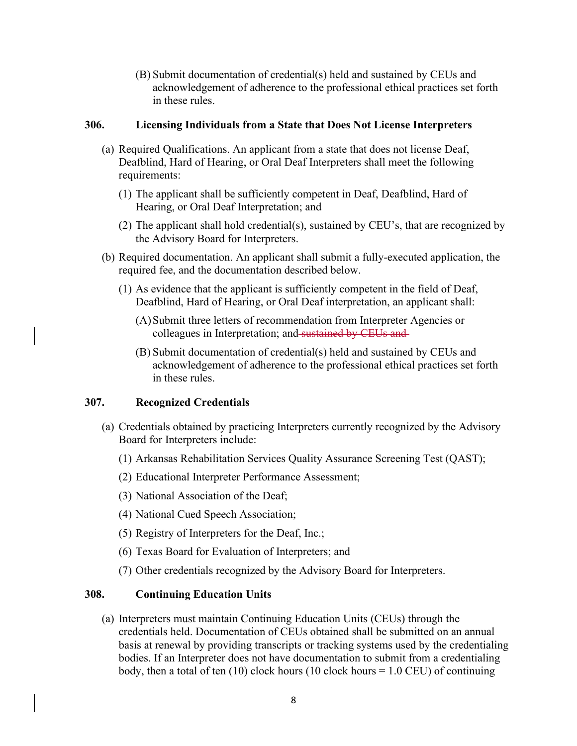(B) Submit documentation of credential(s) held and sustained by CEUs and acknowledgement of adherence to the professional ethical practices set forth in these rules.

### <span id="page-9-0"></span>**306. Licensing Individuals from a State that Does Not License Interpreters**

- (a) Required Qualifications. An applicant from a state that does not license Deaf, Deafblind, Hard of Hearing, or Oral Deaf Interpreters shall meet the following requirements:
	- (1) The applicant shall be sufficiently competent in Deaf, Deafblind, Hard of Hearing, or Oral Deaf Interpretation; and
	- (2) The applicant shall hold credential(s), sustained by CEU's, that are recognized by the Advisory Board for Interpreters.
- (b) Required documentation. An applicant shall submit a fully-executed application, the required fee, and the documentation described below.
	- (1) As evidence that the applicant is sufficiently competent in the field of Deaf, Deafblind, Hard of Hearing, or Oral Deaf interpretation, an applicant shall:
		- (A)Submit three letters of recommendation from Interpreter Agencies or colleagues in Interpretation; and sustained by CEUs and
		- (B) Submit documentation of credential(s) held and sustained by CEUs and acknowledgement of adherence to the professional ethical practices set forth in these rules.

## <span id="page-9-1"></span>**307. Recognized Credentials**

- (a) Credentials obtained by practicing Interpreters currently recognized by the Advisory Board for Interpreters include:
	- (1) Arkansas Rehabilitation Services Quality Assurance Screening Test (QAST);
	- (2) Educational Interpreter Performance Assessment;
	- (3) National Association of the Deaf;
	- (4) National Cued Speech Association;
	- (5) Registry of Interpreters for the Deaf, Inc.;
	- (6) Texas Board for Evaluation of Interpreters; and
	- (7) Other credentials recognized by the Advisory Board for Interpreters.

## <span id="page-9-2"></span>**308. Continuing Education Units**

(a) Interpreters must maintain Continuing Education Units (CEUs) through the credentials held. Documentation of CEUs obtained shall be submitted on an annual basis at renewal by providing transcripts or tracking systems used by the credentialing bodies. If an Interpreter does not have documentation to submit from a credentialing body, then a total of ten  $(10)$  clock hours  $(10 \text{ clock hours} = 1.0 \text{ CEU})$  of continuing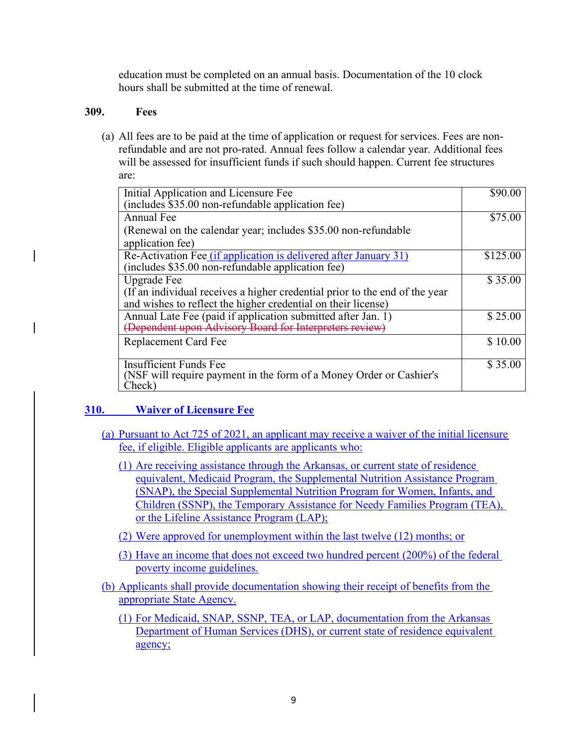education must be completed on an annual basis. Documentation of the 10 clock hours shall be submitted at the time of renewal.

## <span id="page-10-0"></span>**309. Fees**

(a) All fees are to be paid at the time of application or request for services. Fees are nonrefundable and are not pro-rated. Annual fees follow a calendar year. Additional fees will be assessed for insufficient funds if such should happen. Current fee structures are:

| Initial Application and Licensure Fee                                       | \$90.00  |
|-----------------------------------------------------------------------------|----------|
| (includes \$35.00 non-refundable application fee)                           |          |
| Annual Fee                                                                  | \$75.00  |
| (Renewal on the calendar year; includes \$35.00 non-refundable)             |          |
| application fee)                                                            |          |
| Re-Activation Fee (if application is delivered after January 31)            | \$125.00 |
| (includes \$35.00 non-refundable application fee)                           |          |
| Upgrade Fee                                                                 | \$35.00  |
| (If an individual receives a higher credential prior to the end of the year |          |
| and wishes to reflect the higher credential on their license)               |          |
| Annual Late Fee (paid if application submitted after Jan. 1)                | \$25.00  |
| (Dependent upon Advisory Board for Interpreters review                      |          |
| Replacement Card Fee                                                        | \$10.00  |
|                                                                             |          |
| <b>Insufficient Funds Fee</b>                                               | \$35.00  |
| (NSF will require payment in the form of a Money Order or Cashier's         |          |
| Check)                                                                      |          |

# <span id="page-10-1"></span>**310. Waiver of Licensure Fee**

- (a) Pursuant to Act 725 of 2021, an applicant may receive a waiver of the initial licensure fee, if eligible. Eligible applicants are applicants who:
	- (1) Are receiving assistance through the Arkansas, or current state of residence equivalent, Medicaid Program, the Supplemental Nutrition Assistance Program (SNAP), the Special Supplemental Nutrition Program for Women, Infants, and Children (SSNP), the Temporary Assistance for Needy Families Program (TEA), or the Lifeline Assistance Program (LAP);
	- (2) Were approved for unemployment within the last twelve (12) months; or
	- (3) Have an income that does not exceed two hundred percent (200%) of the federal poverty income guidelines.
- <span id="page-10-2"></span>(b) Applicants shall provide documentation showing their receipt of benefits from the appropriate State Agency.
	- (1) For Medicaid, SNAP, SSNP, TEA, or LAP, documentation from the Arkansas Department of Human Services (DHS), or current state of residence equivalent agency;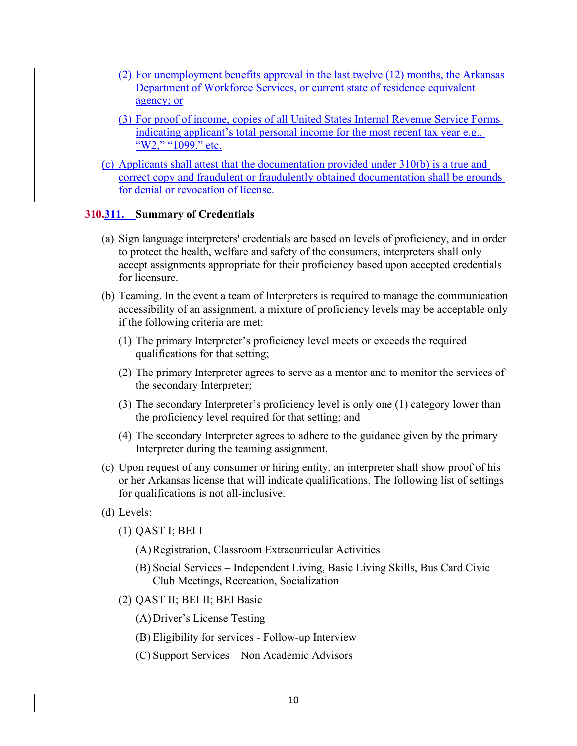- (2) For unemployment benefits approval in the last twelve (12) months, the Arkansas Department of Workforce Services, or current state of residence equivalent agency; or
- (3) For proof of income, copies of all United States Internal Revenue Service Forms indicating applicant's total personal income for the most recent tax year e.g., "W2," "1099," etc.
- (c) Applicants shall attest that the documentation provided under [310\(b\)](#page-10-2) is a true and correct copy and fraudulent or fraudulently obtained documentation shall be grounds for denial or revocation of license.

### <span id="page-11-0"></span>**310.311. Summary of Credentials**

- (a) Sign language interpreters' credentials are based on levels of proficiency, and in order to protect the health, welfare and safety of the consumers, interpreters shall only accept assignments appropriate for their proficiency based upon accepted credentials for licensure.
- (b) Teaming. In the event a team of Interpreters is required to manage the communication accessibility of an assignment, a mixture of proficiency levels may be acceptable only if the following criteria are met:
	- (1) The primary Interpreter's proficiency level meets or exceeds the required qualifications for that setting;
	- (2) The primary Interpreter agrees to serve as a mentor and to monitor the services of the secondary Interpreter;
	- (3) The secondary Interpreter's proficiency level is only one (1) category lower than the proficiency level required for that setting; and
	- (4) The secondary Interpreter agrees to adhere to the guidance given by the primary Interpreter during the teaming assignment.
- (c) Upon request of any consumer or hiring entity, an interpreter shall show proof of his or her Arkansas license that will indicate qualifications. The following list of settings for qualifications is not all-inclusive.
- (d) Levels:
	- (1) QAST I; BEI I
		- (A)Registration, Classroom Extracurricular Activities
		- (B) Social Services Independent Living, Basic Living Skills, Bus Card Civic Club Meetings, Recreation, Socialization
	- (2) QAST II; BEI II; BEI Basic
		- (A)Driver's License Testing
		- (B) Eligibility for services Follow-up Interview
		- (C) Support Services Non Academic Advisors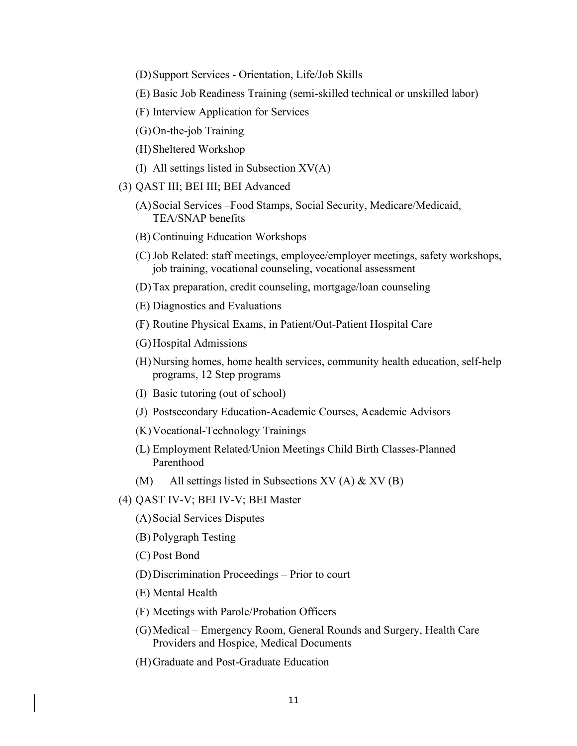(D)Support Services - Orientation, Life/Job Skills

(E) Basic Job Readiness Training (semi-skilled technical or unskilled labor)

- (F) Interview Application for Services
- (G)On-the-job Training
- (H)Sheltered Workshop
- (I) All settings listed in Subsection XV(A)
- (3) QAST III; BEI III; BEI Advanced
	- (A)Social Services –Food Stamps, Social Security, Medicare/Medicaid, TEA/SNAP benefits
	- (B) Continuing Education Workshops
	- (C)Job Related: staff meetings, employee/employer meetings, safety workshops, job training, vocational counseling, vocational assessment
	- (D)Tax preparation, credit counseling, mortgage/loan counseling
	- (E) Diagnostics and Evaluations
	- (F) Routine Physical Exams, in Patient/Out-Patient Hospital Care
	- (G)Hospital Admissions
	- (H)Nursing homes, home health services, community health education, self-help programs, 12 Step programs
	- (I) Basic tutoring (out of school)
	- (J) Postsecondary Education-Academic Courses, Academic Advisors
	- (K)Vocational-Technology Trainings
	- (L) Employment Related/Union Meetings Child Birth Classes-Planned Parenthood
	- (M) All settings listed in Subsections XV (A)  $&$  XV (B)
- (4) QAST IV-V; BEI IV-V; BEI Master
	- (A)Social Services Disputes
	- (B) Polygraph Testing
	- (C) Post Bond
	- (D)Discrimination Proceedings Prior to court
	- (E) Mental Health
	- (F) Meetings with Parole/Probation Officers
	- (G)Medical Emergency Room, General Rounds and Surgery, Health Care Providers and Hospice, Medical Documents
	- (H)Graduate and Post-Graduate Education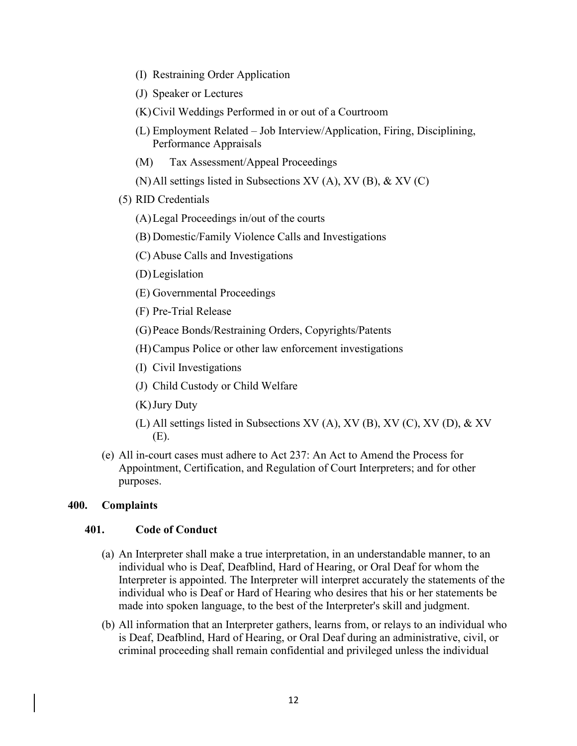- (I) Restraining Order Application
- (J) Speaker or Lectures
- (K)Civil Weddings Performed in or out of a Courtroom
- (L) Employment Related Job Interview/Application, Firing, Disciplining, Performance Appraisals
- (M) Tax Assessment/Appeal Proceedings
- (N)All settings listed in Subsections XV (A), XV (B), & XV (C)
- (5) RID Credentials
	- (A)Legal Proceedings in/out of the courts
	- (B) Domestic/Family Violence Calls and Investigations
	- (C) Abuse Calls and Investigations
	- (D)Legislation
	- (E) Governmental Proceedings
	- (F) Pre-Trial Release
	- (G)Peace Bonds/Restraining Orders, Copyrights/Patents
	- (H)Campus Police or other law enforcement investigations
	- (I) Civil Investigations
	- (J) Child Custody or Child Welfare
	- (K)Jury Duty
	- (L) All settings listed in Subsections XV (A), XV (B), XV (C), XV (D), & XV (E).
- (e) All in-court cases must adhere to Act 237: An Act to Amend the Process for Appointment, Certification, and Regulation of Court Interpreters; and for other purposes.

## <span id="page-13-0"></span>**400. Complaints**

## <span id="page-13-1"></span>**401. Code of Conduct**

- (a) An Interpreter shall make a true interpretation, in an understandable manner, to an individual who is Deaf, Deafblind, Hard of Hearing, or Oral Deaf for whom the Interpreter is appointed. The Interpreter will interpret accurately the statements of the individual who is Deaf or Hard of Hearing who desires that his or her statements be made into spoken language, to the best of the Interpreter's skill and judgment.
- (b) All information that an Interpreter gathers, learns from, or relays to an individual who is Deaf, Deafblind, Hard of Hearing, or Oral Deaf during an administrative, civil, or criminal proceeding shall remain confidential and privileged unless the individual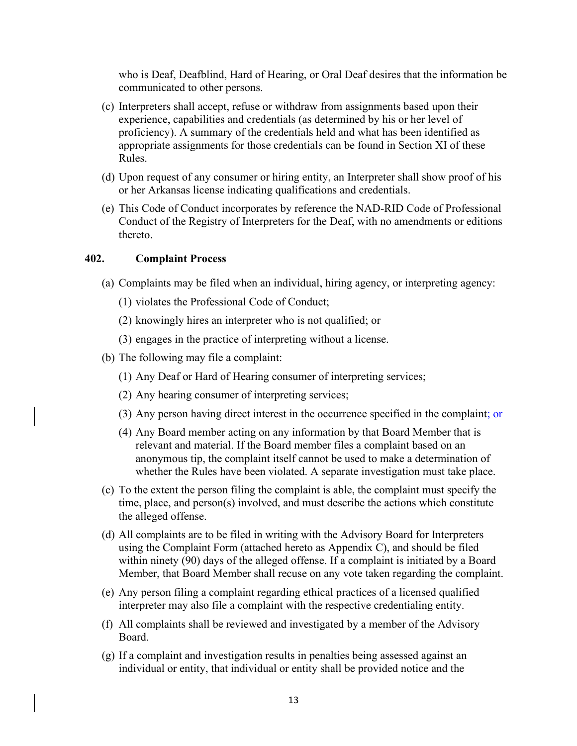who is Deaf, Deafblind, Hard of Hearing, or Oral Deaf desires that the information be communicated to other persons.

- (c) Interpreters shall accept, refuse or withdraw from assignments based upon their experience, capabilities and credentials (as determined by his or her level of proficiency). A summary of the credentials held and what has been identified as appropriate assignments for those credentials can be found in Section XI of these Rules.
- (d) Upon request of any consumer or hiring entity, an Interpreter shall show proof of his or her Arkansas license indicating qualifications and credentials.
- (e) This Code of Conduct incorporates by reference the NAD-RID Code of Professional Conduct of the Registry of Interpreters for the Deaf, with no amendments or editions thereto.

#### <span id="page-14-0"></span>**402. Complaint Process**

- (a) Complaints may be filed when an individual, hiring agency, or interpreting agency:
	- (1) violates the Professional Code of Conduct;
	- (2) knowingly hires an interpreter who is not qualified; or
	- (3) engages in the practice of interpreting without a license.
- (b) The following may file a complaint:
	- (1) Any Deaf or Hard of Hearing consumer of interpreting services;
	- (2) Any hearing consumer of interpreting services;
	- (3) Any person having direct interest in the occurrence specified in the complaint; or
	- (4) Any Board member acting on any information by that Board Member that is relevant and material. If the Board member files a complaint based on an anonymous tip, the complaint itself cannot be used to make a determination of whether the Rules have been violated. A separate investigation must take place.
- (c) To the extent the person filing the complaint is able, the complaint must specify the time, place, and person(s) involved, and must describe the actions which constitute the alleged offense.
- (d) All complaints are to be filed in writing with the Advisory Board for Interpreters using the Complaint Form (attached hereto as Appendix C), and should be filed within ninety (90) days of the alleged offense. If a complaint is initiated by a Board Member, that Board Member shall recuse on any vote taken regarding the complaint.
- (e) Any person filing a complaint regarding ethical practices of a licensed qualified interpreter may also file a complaint with the respective credentialing entity.
- (f) All complaints shall be reviewed and investigated by a member of the Advisory Board.
- (g) If a complaint and investigation results in penalties being assessed against an individual or entity, that individual or entity shall be provided notice and the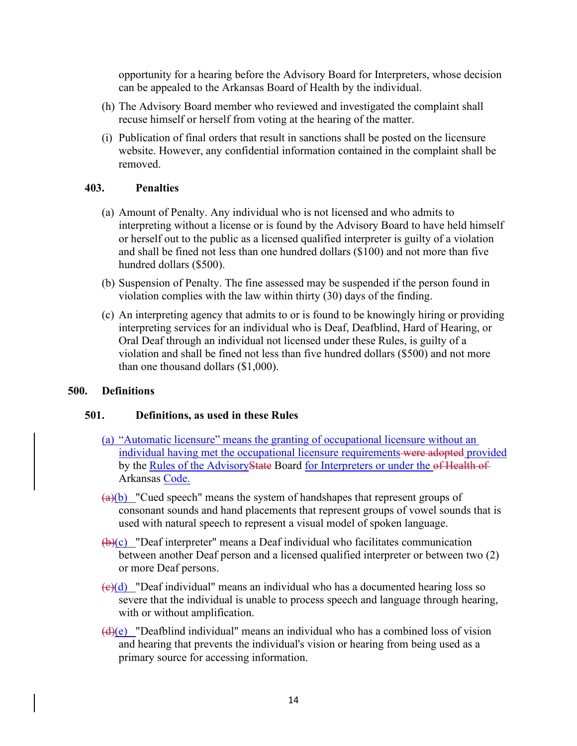opportunity for a hearing before the Advisory Board for Interpreters, whose decision can be appealed to the Arkansas Board of Health by the individual.

- (h) The Advisory Board member who reviewed and investigated the complaint shall recuse himself or herself from voting at the hearing of the matter.
- (i) Publication of final orders that result in sanctions shall be posted on the licensure website. However, any confidential information contained in the complaint shall be removed.

## <span id="page-15-0"></span>**403. Penalties**

- (a) Amount of Penalty. Any individual who is not licensed and who admits to interpreting without a license or is found by the Advisory Board to have held himself or herself out to the public as a licensed qualified interpreter is guilty of a violation and shall be fined not less than one hundred dollars (\$100) and not more than five hundred dollars (\$500).
- (b) Suspension of Penalty. The fine assessed may be suspended if the person found in violation complies with the law within thirty (30) days of the finding.
- (c) An interpreting agency that admits to or is found to be knowingly hiring or providing interpreting services for an individual who is Deaf, Deafblind, Hard of Hearing, or Oral Deaf through an individual not licensed under these Rules, is guilty of a violation and shall be fined not less than five hundred dollars (\$500) and not more than one thousand dollars (\$1,000).

## <span id="page-15-1"></span>**500. Definitions**

# <span id="page-15-2"></span>**501. Definitions, as used in these Rules**

- (a) "Automatic licensure" means the granting of occupational licensure without an individual having met the occupational licensure requirements were adopted provided by the Rules of the AdvisoryState Board for Interpreters or under the of Health of Arkansas Code.
- $(a)(b)$  "Cued speech" means the system of handshapes that represent groups of consonant sounds and hand placements that represent groups of vowel sounds that is used with natural speech to represent a visual model of spoken language.
- $(\theta)(c)$  "Deaf interpreter" means a Deaf individual who facilitates communication between another Deaf person and a licensed qualified interpreter or between two (2) or more Deaf persons.
- $\left(\frac{e}{c}\right)$  "Deaf individual" means an individual who has a documented hearing loss so severe that the individual is unable to process speech and language through hearing, with or without amplification.
- $\frac{d(x)}{dx}$  "Deafblind individual" means an individual who has a combined loss of vision and hearing that prevents the individual's vision or hearing from being used as a primary source for accessing information.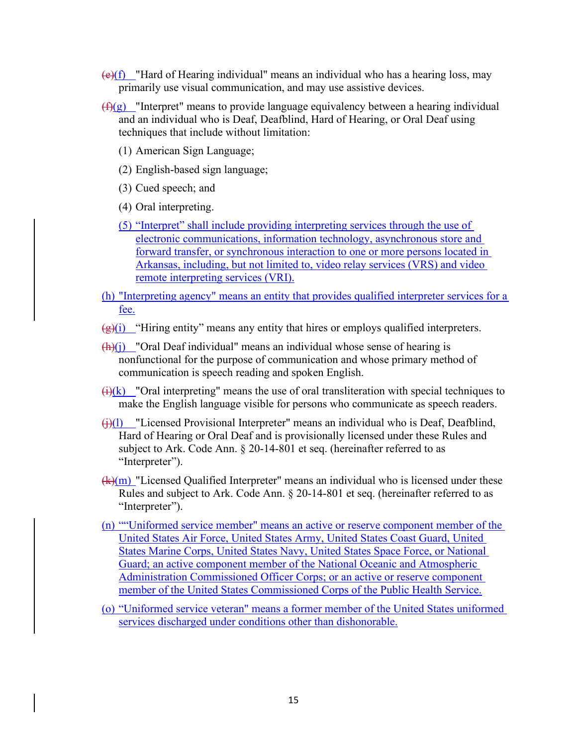- $\left(\frac{e}{f}\right)$  "Hard of Hearing individual" means an individual who has a hearing loss, may primarily use visual communication, and may use assistive devices.
- $(f)(g)$  "Interpret" means to provide language equivalency between a hearing individual and an individual who is Deaf, Deafblind, Hard of Hearing, or Oral Deaf using techniques that include without limitation:
	- (1) American Sign Language;
	- (2) English-based sign language;
	- (3) Cued speech; and
	- (4) Oral interpreting.
	- (5) "Interpret" shall include providing interpreting services through the use of electronic communications, information technology, asynchronous store and forward transfer, or synchronous interaction to one or more persons located in Arkansas, including, but not limited to, video relay services (VRS) and video remote interpreting services (VRI).
- (h) "Interpreting agency" means an entity that provides qualified interpreter services for a fee.
- $\left(\frac{\Theta}{\Theta}\right)^{i}$  "Hiring entity" means any entity that hires or employs qualified interpreters.
- $\frac{(\mathbf{h})(\mathbf{j})}{(\mathbf{h})(\mathbf{j})}$  "Oral Deaf individual" means an individual whose sense of hearing is nonfunctional for the purpose of communication and whose primary method of communication is speech reading and spoken English.
- $\frac{f(x)}{g(x)}$  "Oral interpreting" means the use of oral transliteration with special techniques to make the English language visible for persons who communicate as speech readers.
- $\frac{f(x)}{g(x)}$  "Licensed Provisional Interpreter" means an individual who is Deaf, Deafblind, Hard of Hearing or Oral Deaf and is provisionally licensed under these Rules and subject to Ark. Code Ann. § 20-14-801 et seq. (hereinafter referred to as "Interpreter").
- $(k)(m)$  "Licensed Qualified Interpreter" means an individual who is licensed under these Rules and subject to Ark. Code Ann. § 20-14-801 et seq. (hereinafter referred to as "Interpreter").
- (n) ""Uniformed service member" means an active or reserve component member of the United States Air Force, United States Army, United States Coast Guard, United States Marine Corps, United States Navy, United States Space Force, or National Guard; an active component member of the National Oceanic and Atmospheric Administration Commissioned Officer Corps; or an active or reserve component member of the United States Commissioned Corps of the Public Health Service.
- (o) "Uniformed service veteran" means a former member of the United States uniformed services discharged under conditions other than dishonorable.